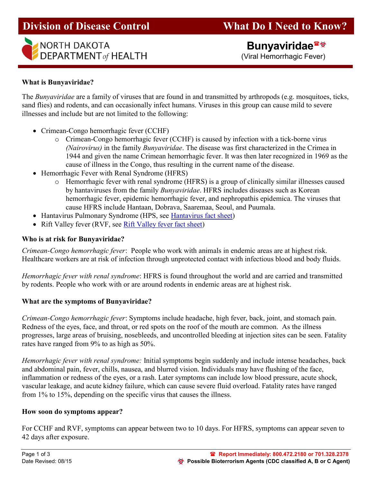



(Viral Hemorrhagic Fever)

## What is Bunyaviridae?

The Bunyaviridae are a family of viruses that are found in and transmitted by arthropods (e.g. mosquitoes, ticks, sand flies) and rodents, and can occasionally infect humans. Viruses in this group can cause mild to severe illnesses and include but are not limited to the following:

- Crimean-Congo hemorrhagic fever (CCHF)
	- o Crimean-Congo hemorrhagic fever (CCHF) is caused by infection with a tick-borne virus (Nairovirus) in the family Bunyaviridae. The disease was first characterized in the Crimea in 1944 and given the name Crimean hemorrhagic fever. It was then later recognized in 1969 as the cause of illness in the Congo, thus resulting in the current name of the disease.
- Hemorrhagic Fever with Renal Syndrome (HFRS)
	- o Hemorrhagic fever with renal syndrome (HFRS) is a group of clinically similar illnesses caused by hantaviruses from the family *Bunyaviridae*. HFRS includes diseases such as Korean hemorrhagic fever, epidemic hemorrhagic fever, and nephropathis epidemica. The viruses that cause HFRS include Hantaan, Dobrava, Saaremaa, Seoul, and Puumala.
- Hantavirus Pulmonary Syndrome (HPS, see Hantavirus fact sheet)
- Rift Valley fever (RVF, see Rift Valley fever fact sheet)

## Who is at risk for Bunyaviridae?

Crimean-Congo hemorrhagic fever: People who work with animals in endemic areas are at highest risk. Healthcare workers are at risk of infection through unprotected contact with infectious blood and body fluids.

Hemorrhagic fever with renal syndrome: HFRS is found throughout the world and are carried and transmitted by rodents. People who work with or are around rodents in endemic areas are at highest risk.

#### What are the symptoms of Bunyaviridae?

Crimean-Congo hemorrhagic fever: Symptoms include headache, high fever, back, joint, and stomach pain. Redness of the eyes, face, and throat, or red spots on the roof of the mouth are common. As the illness progresses, large areas of bruising, nosebleeds, and uncontrolled bleeding at injection sites can be seen. Fatality rates have ranged from 9% to as high as 50%.

Hemorrhagic fever with renal syndrome: Initial symptoms begin suddenly and include intense headaches, back and abdominal pain, fever, chills, nausea, and blurred vision. Individuals may have flushing of the face, inflammation or redness of the eyes, or a rash. Later symptoms can include low blood pressure, acute shock, vascular leakage, and acute kidney failure, which can cause severe fluid overload. Fatality rates have ranged from 1% to 15%, depending on the specific virus that causes the illness.

#### How soon do symptoms appear?

For CCHF and RVF, symptoms can appear between two to 10 days. For HFRS, symptoms can appear seven to 42 days after exposure.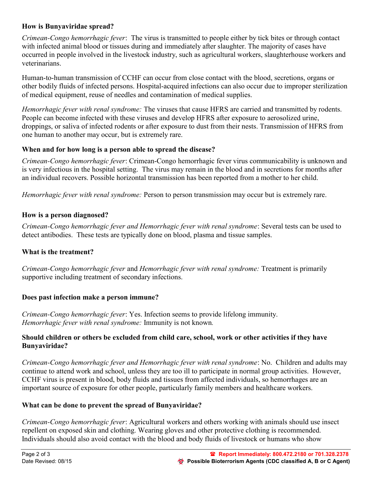## How is Bunyaviridae spread?

Crimean-Congo hemorrhagic fever: The virus is transmitted to people either by tick bites or through contact with infected animal blood or tissues during and immediately after slaughter. The majority of cases have occurred in people involved in the livestock industry, such as agricultural workers, slaughterhouse workers and veterinarians.

Human-to-human transmission of CCHF can occur from close contact with the blood, secretions, organs or other bodily fluids of infected persons. Hospital-acquired infections can also occur due to improper sterilization of medical equipment, reuse of needles and contamination of medical supplies.

Hemorrhagic fever with renal syndrome: The viruses that cause HFRS are carried and transmitted by rodents. People can become infected with these viruses and develop HFRS after exposure to aerosolized urine, droppings, or saliva of infected rodents or after exposure to dust from their nests. Transmission of HFRS from one human to another may occur, but is extremely rare.

## When and for how long is a person able to spread the disease?

Crimean-Congo hemorrhagic fever: Crimean-Congo hemorrhagic fever virus communicability is unknown and is very infectious in the hospital setting. The virus may remain in the blood and in secretions for months after an individual recovers. Possible horizontal transmission has been reported from a mother to her child.

Hemorrhagic fever with renal syndrome: Person to person transmission may occur but is extremely rare.

# How is a person diagnosed?

Crimean-Congo hemorrhagic fever and Hemorrhagic fever with renal syndrome: Several tests can be used to detect antibodies. These tests are typically done on blood, plasma and tissue samples.

# What is the treatment?

Crimean-Congo hemorrhagic fever and Hemorrhagic fever with renal syndrome: Treatment is primarily supportive including treatment of secondary infections.

# Does past infection make a person immune?

Crimean-Congo hemorrhagic fever: Yes. Infection seems to provide lifelong immunity. Hemorrhagic fever with renal syndrome: Immunity is not known.

## Should children or others be excluded from child care, school, work or other activities if they have Bunyaviridae?

Crimean-Congo hemorrhagic fever and Hemorrhagic fever with renal syndrome: No. Children and adults may continue to attend work and school, unless they are too ill to participate in normal group activities. However, CCHF virus is present in blood, body fluids and tissues from affected individuals, so hemorrhages are an important source of exposure for other people, particularly family members and healthcare workers.

# What can be done to prevent the spread of Bunyaviridae?

Crimean-Congo hemorrhagic fever: Agricultural workers and others working with animals should use insect repellent on exposed skin and clothing. Wearing gloves and other protective clothing is recommended. Individuals should also avoid contact with the blood and body fluids of livestock or humans who show